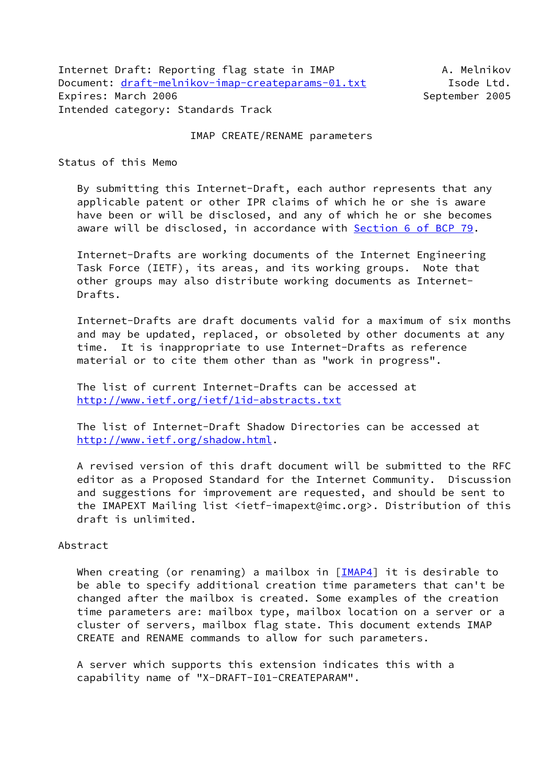Internet Draft: Reporting flag state in IMAP A. Melnikov Document: [draft-melnikov-imap-createparams-01.txt](https://datatracker.ietf.org/doc/pdf/draft-melnikov-imap-createparams-01.txt) Isode Ltd. Expires: March 2006 September 2005 Intended category: Standards Track

#### IMAP CREATE/RENAME parameters

Status of this Memo

 By submitting this Internet-Draft, each author represents that any applicable patent or other IPR claims of which he or she is aware have been or will be disclosed, and any of which he or she becomes aware will be disclosed, in accordance with Section [6 of BCP 79.](https://datatracker.ietf.org/doc/pdf/bcp79#section-6)

 Internet-Drafts are working documents of the Internet Engineering Task Force (IETF), its areas, and its working groups. Note that other groups may also distribute working documents as Internet- Drafts.

 Internet-Drafts are draft documents valid for a maximum of six months and may be updated, replaced, or obsoleted by other documents at any time. It is inappropriate to use Internet-Drafts as reference material or to cite them other than as "work in progress".

 The list of current Internet-Drafts can be accessed at <http://www.ietf.org/ietf/1id-abstracts.txt>

 The list of Internet-Draft Shadow Directories can be accessed at <http://www.ietf.org/shadow.html>.

 A revised version of this draft document will be submitted to the RFC editor as a Proposed Standard for the Internet Community. Discussion and suggestions for improvement are requested, and should be sent to the IMAPEXT Mailing list <ietf-imapext@imc.org>. Distribution of this draft is unlimited.

#### Abstract

When creating (or renaming) a mailbox in  $[\underline{IMAP4}]$  it is desirable to be able to specify additional creation time parameters that can't be changed after the mailbox is created. Some examples of the creation time parameters are: mailbox type, mailbox location on a server or a cluster of servers, mailbox flag state. This document extends IMAP CREATE and RENAME commands to allow for such parameters.

 A server which supports this extension indicates this with a capability name of "X-DRAFT-I01-CREATEPARAM".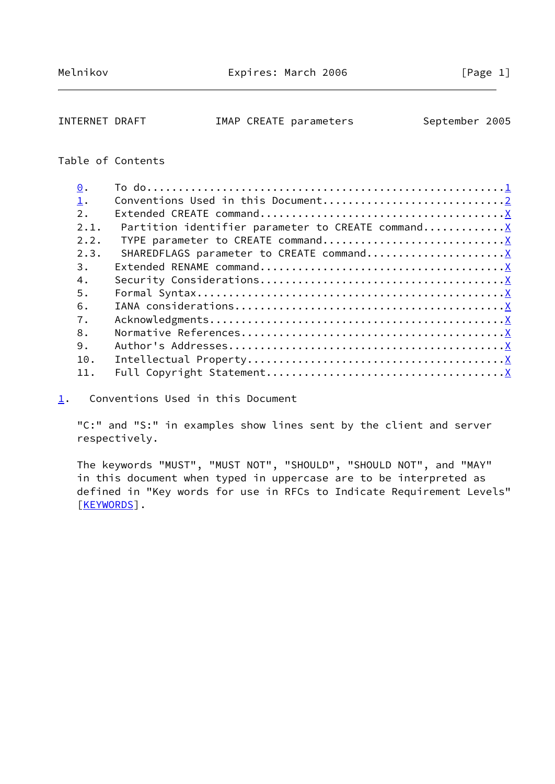<span id="page-1-1"></span>INTERNET DRAFT MAP CREATE parameters September 2005

# Table of Contents

| 1.<br>2.<br>Partition identifier parameter to CREATE command X<br>2.1.<br>2.2.<br>2.3.<br>3. |  |
|----------------------------------------------------------------------------------------------|--|
|                                                                                              |  |
|                                                                                              |  |
|                                                                                              |  |
|                                                                                              |  |
|                                                                                              |  |
|                                                                                              |  |
| 4.                                                                                           |  |
| 5.                                                                                           |  |
| 6.                                                                                           |  |
| 7.                                                                                           |  |
| 8.                                                                                           |  |
| 9.                                                                                           |  |
| 10.                                                                                          |  |
| 11.                                                                                          |  |

<span id="page-1-0"></span>[1](#page-1-0). Conventions Used in this Document

 "C:" and "S:" in examples show lines sent by the client and server respectively.

 The keywords "MUST", "MUST NOT", "SHOULD", "SHOULD NOT", and "MAY" in this document when typed in uppercase are to be interpreted as defined in "Key words for use in RFCs to Indicate Requirement Levels" [\[KEYWORDS](#page-9-1)].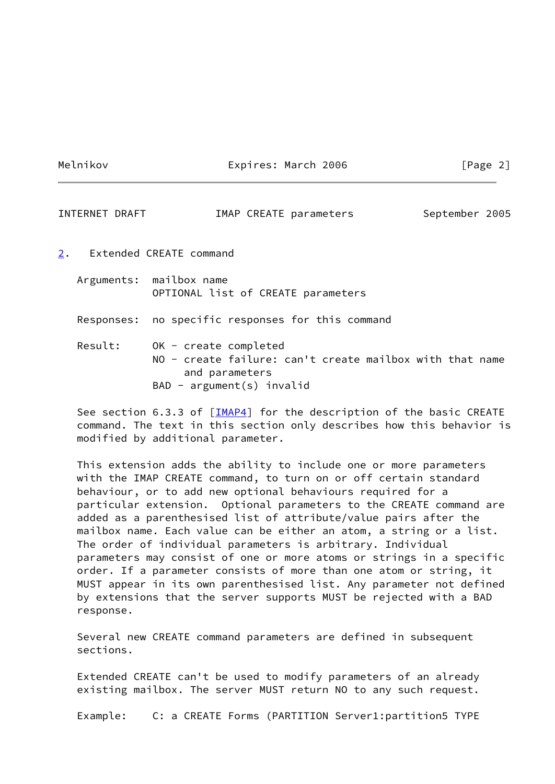Melnikov **Expires: March 2006** [Page 2]

INTERNET DRAFT MAP CREATE parameters September 2005

- <span id="page-2-0"></span>[2](#page-2-0). Extended CREATE command
	- Arguments: mailbox name OPTIONAL list of CREATE parameters

Responses: no specific responses for this command

 Result: OK - create completed NO - create failure: can't create mailbox with that name and parameters BAD - argument(s) invalid

See section 6.3.3 of  $[IMAP4]$  for the description of the basic CREATE command. The text in this section only describes how this behavior is modified by additional parameter.

 This extension adds the ability to include one or more parameters with the IMAP CREATE command, to turn on or off certain standard behaviour, or to add new optional behaviours required for a particular extension. Optional parameters to the CREATE command are added as a parenthesised list of attribute/value pairs after the mailbox name. Each value can be either an atom, a string or a list. The order of individual parameters is arbitrary. Individual parameters may consist of one or more atoms or strings in a specific order. If a parameter consists of more than one atom or string, it MUST appear in its own parenthesised list. Any parameter not defined by extensions that the server supports MUST be rejected with a BAD response.

 Several new CREATE command parameters are defined in subsequent sections.

 Extended CREATE can't be used to modify parameters of an already existing mailbox. The server MUST return NO to any such request.

Example: C: a CREATE Forms (PARTITION Server1:partition5 TYPE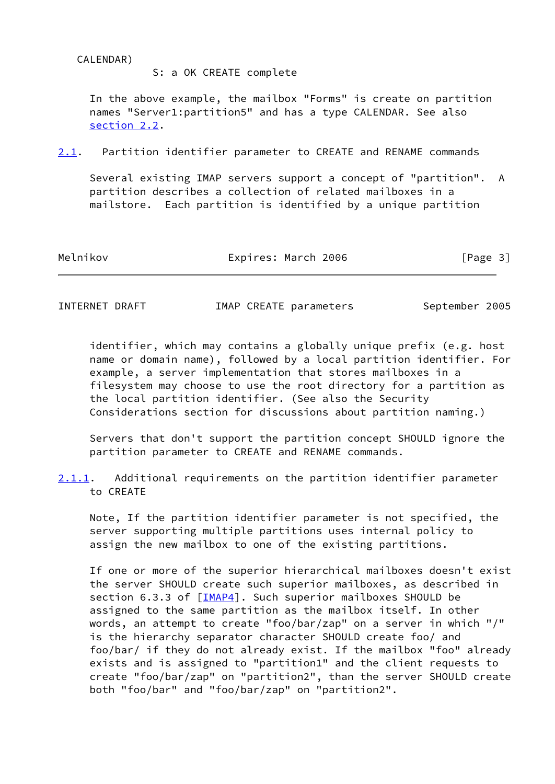CALENDAR)

S: a OK CREATE complete

 In the above example, the mailbox "Forms" is create on partition names "Server1:partition5" and has a type CALENDAR. See also [section 2.2](#page-4-0).

<span id="page-3-0"></span>[2.1](#page-3-0). Partition identifier parameter to CREATE and RENAME commands

 Several existing IMAP servers support a concept of "partition". A partition describes a collection of related mailboxes in a mailstore. Each partition is identified by a unique partition

Melnikov **Expires: March 2006** [Page 3]

INTERNET DRAFT **IMAP CREATE parameters** September 2005

 identifier, which may contains a globally unique prefix (e.g. host name or domain name), followed by a local partition identifier. For example, a server implementation that stores mailboxes in a filesystem may choose to use the root directory for a partition as the local partition identifier. (See also the Security Considerations section for discussions about partition naming.)

 Servers that don't support the partition concept SHOULD ignore the partition parameter to CREATE and RENAME commands.

<span id="page-3-1"></span>[2.1.1](#page-3-1). Additional requirements on the partition identifier parameter to CREATE

 Note, If the partition identifier parameter is not specified, the server supporting multiple partitions uses internal policy to assign the new mailbox to one of the existing partitions.

 If one or more of the superior hierarchical mailboxes doesn't exist the server SHOULD create such superior mailboxes, as described in section 6.3.3 of [[IMAP4\]](#page-9-0). Such superior mailboxes SHOULD be assigned to the same partition as the mailbox itself. In other words, an attempt to create "foo/bar/zap" on a server in which "/" is the hierarchy separator character SHOULD create foo/ and foo/bar/ if they do not already exist. If the mailbox "foo" already exists and is assigned to "partition1" and the client requests to create "foo/bar/zap" on "partition2", than the server SHOULD create both "foo/bar" and "foo/bar/zap" on "partition2".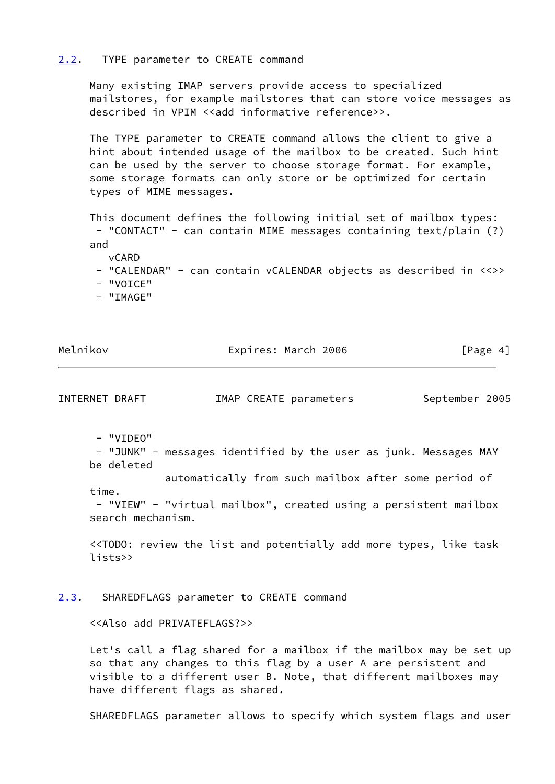#### <span id="page-4-0"></span>[2.2](#page-4-0). TYPE parameter to CREATE command

 Many existing IMAP servers provide access to specialized mailstores, for example mailstores that can store voice messages as described in VPIM <<add informative reference>>.

 The TYPE parameter to CREATE command allows the client to give a hint about intended usage of the mailbox to be created. Such hint can be used by the server to choose storage format. For example, some storage formats can only store or be optimized for certain types of MIME messages.

 This document defines the following initial set of mailbox types: - "CONTACT" - can contain MIME messages containing text/plain (?) and

vCARD

- "CALENDAR" can contain vCALENDAR objects as described in <<>>
- "VOICE"
- "IMAGE"

Melnikov **Expires: March 2006** [Page 4]

INTERNET DRAFT **IMAP CREATE parameters** September 2005

- "VIDEO"

 - "JUNK" - messages identified by the user as junk. Messages MAY be deleted

 automatically from such mailbox after some period of time.

 - "VIEW" - "virtual mailbox", created using a persistent mailbox search mechanism.

 <<TODO: review the list and potentially add more types, like task lists>>

## <span id="page-4-1"></span>[2.3](#page-4-1). SHAREDFLAGS parameter to CREATE command

<<Also add PRIVATEFLAGS?>>

 Let's call a flag shared for a mailbox if the mailbox may be set up so that any changes to this flag by a user A are persistent and visible to a different user B. Note, that different mailboxes may have different flags as shared.

SHAREDFLAGS parameter allows to specify which system flags and user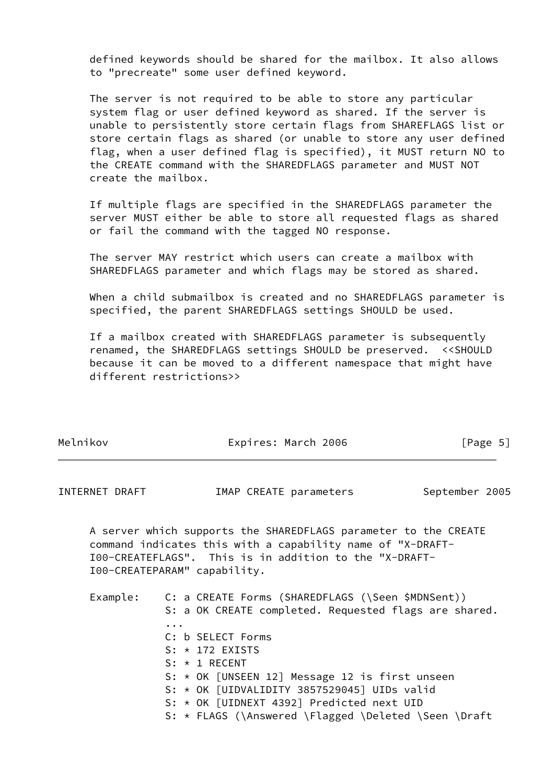defined keywords should be shared for the mailbox. It also allows to "precreate" some user defined keyword.

 The server is not required to be able to store any particular system flag or user defined keyword as shared. If the server is unable to persistently store certain flags from SHAREFLAGS list or store certain flags as shared (or unable to store any user defined flag, when a user defined flag is specified), it MUST return NO to the CREATE command with the SHAREDFLAGS parameter and MUST NOT create the mailbox.

 If multiple flags are specified in the SHAREDFLAGS parameter the server MUST either be able to store all requested flags as shared or fail the command with the tagged NO response.

 The server MAY restrict which users can create a mailbox with SHAREDFLAGS parameter and which flags may be stored as shared.

 When a child submailbox is created and no SHAREDFLAGS parameter is specified, the parent SHAREDFLAGS settings SHOULD be used.

 If a mailbox created with SHAREDFLAGS parameter is subsequently renamed, the SHAREDFLAGS settings SHOULD be preserved. <<SHOULD because it can be moved to a different namespace that might have different restrictions>>

Melnikov **Expires: March 2006** [Page 5]

| INTERNET DRAFT | IMAP CREATE parameters                                                                                                                                                                                                                                                                                                                                                                                          | September 2005 |
|----------------|-----------------------------------------------------------------------------------------------------------------------------------------------------------------------------------------------------------------------------------------------------------------------------------------------------------------------------------------------------------------------------------------------------------------|----------------|
|                | A server which supports the SHAREDFLAGS parameter to the CREATE<br>command indicates this with a capability name of "X-DRAFT-<br>I00-CREATEFLAGS". This is in addition to the "X-DRAFT-<br>I00-CREATEPARAM" capability.                                                                                                                                                                                         |                |
|                | Example: C: a CREATE Forms (SHAREDFLAGS (\Seen \$MDNSent))<br>S: a OK CREATE completed. Requested flags are shared.<br>$\ddotsc$<br>C: b SELECT Forms<br>$S: * 172$ EXISTS<br>$S: * 1$ RECENT<br>S: $\star$ OK [UNSEEN 12] Message 12 is first unseen<br>S: $\star$ OK [UIDVALIDITY 3857529045] UIDs valid<br>S: * OK [UIDNEXT 4392] Predicted next UID<br>S: * FLAGS (\Answered \Flagged \Deleted \Seen \Draft |                |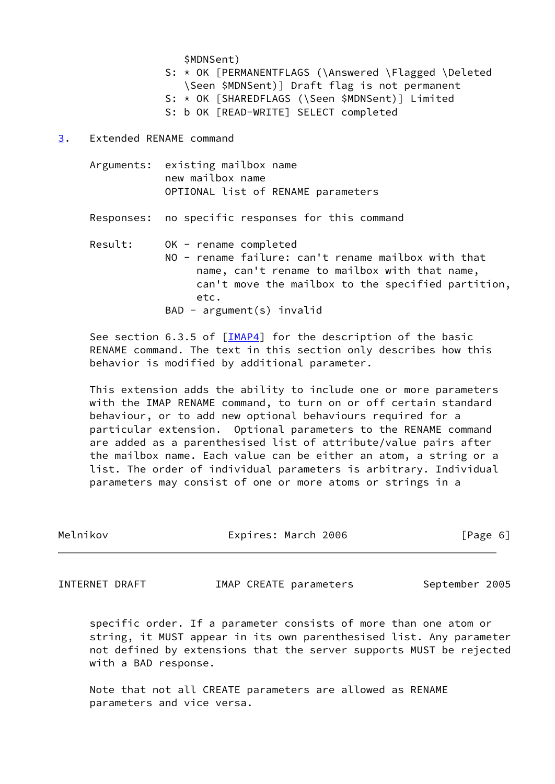\$MDNSent)

- S: \* OK [PERMANENTFLAGS (\Answered \Flagged \Deleted \Seen \$MDNSent)] Draft flag is not permanent
- S: \* OK [SHAREDFLAGS (\Seen \$MDNSent)] Limited
- S: b OK [READ-WRITE] SELECT completed
- <span id="page-6-0"></span>[3](#page-6-0). Extended RENAME command
	- Arguments: existing mailbox name new mailbox name OPTIONAL list of RENAME parameters
	- Responses: no specific responses for this command

 Result: OK - rename completed NO - rename failure: can't rename mailbox with that name, can't rename to mailbox with that name, can't move the mailbox to the specified partition, etc. BAD - argument(s) invalid

See section 6.3.5 of  $[IMAP4]$  $[IMAP4]$  for the description of the basic RENAME command. The text in this section only describes how this behavior is modified by additional parameter.

 This extension adds the ability to include one or more parameters with the IMAP RENAME command, to turn on or off certain standard behaviour, or to add new optional behaviours required for a particular extension. Optional parameters to the RENAME command are added as a parenthesised list of attribute/value pairs after the mailbox name. Each value can be either an atom, a string or a list. The order of individual parameters is arbitrary. Individual parameters may consist of one or more atoms or strings in a

| Melnikov | Expires: March 2006 | [Page 6] |  |
|----------|---------------------|----------|--|
|          |                     |          |  |

INTERNET DRAFT MAP CREATE parameters September 2005

 specific order. If a parameter consists of more than one atom or string, it MUST appear in its own parenthesised list. Any parameter not defined by extensions that the server supports MUST be rejected with a BAD response.

 Note that not all CREATE parameters are allowed as RENAME parameters and vice versa.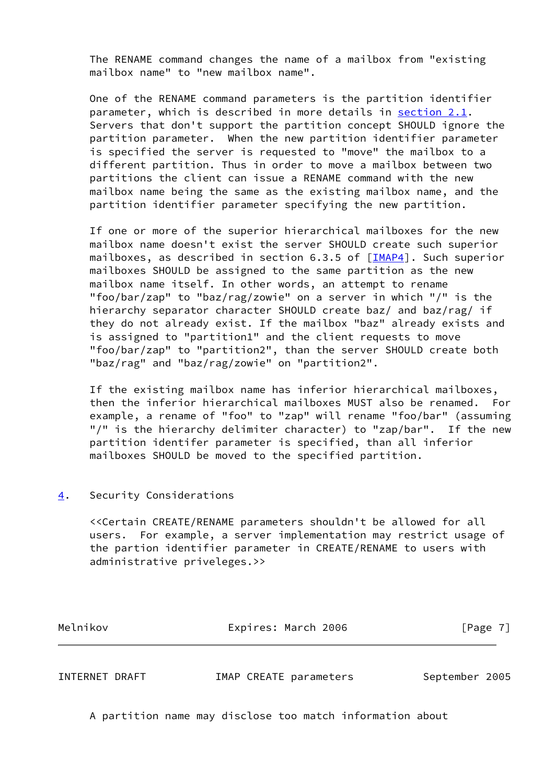The RENAME command changes the name of a mailbox from "existing mailbox name" to "new mailbox name".

 One of the RENAME command parameters is the partition identifier parameter, which is described in more details in [section 2.1](#page-3-0). Servers that don't support the partition concept SHOULD ignore the partition parameter. When the new partition identifier parameter is specified the server is requested to "move" the mailbox to a different partition. Thus in order to move a mailbox between two partitions the client can issue a RENAME command with the new mailbox name being the same as the existing mailbox name, and the partition identifier parameter specifying the new partition.

 If one or more of the superior hierarchical mailboxes for the new mailbox name doesn't exist the server SHOULD create such superior mailboxes, as described in section 6.3.5 of [[IMAP4\]](#page-9-0). Such superior mailboxes SHOULD be assigned to the same partition as the new mailbox name itself. In other words, an attempt to rename "foo/bar/zap" to "baz/rag/zowie" on a server in which "/" is the hierarchy separator character SHOULD create baz/ and baz/rag/ if they do not already exist. If the mailbox "baz" already exists and is assigned to "partition1" and the client requests to move "foo/bar/zap" to "partition2", than the server SHOULD create both "baz/rag" and "baz/rag/zowie" on "partition2".

 If the existing mailbox name has inferior hierarchical mailboxes, then the inferior hierarchical mailboxes MUST also be renamed. For example, a rename of "foo" to "zap" will rename "foo/bar" (assuming "/" is the hierarchy delimiter character) to "zap/bar". If the new partition identifer parameter is specified, than all inferior mailboxes SHOULD be moved to the specified partition.

### <span id="page-7-0"></span>[4](#page-7-0). Security Considerations

 <<Certain CREATE/RENAME parameters shouldn't be allowed for all users. For example, a server implementation may restrict usage of the partion identifier parameter in CREATE/RENAME to users with administrative priveleges.>>

| Melnikov | Expires: March 2006 | [Page 7] |
|----------|---------------------|----------|
|          |                     |          |

INTERNET DRAFT **IMAP CREATE parameters** September 2005

A partition name may disclose too match information about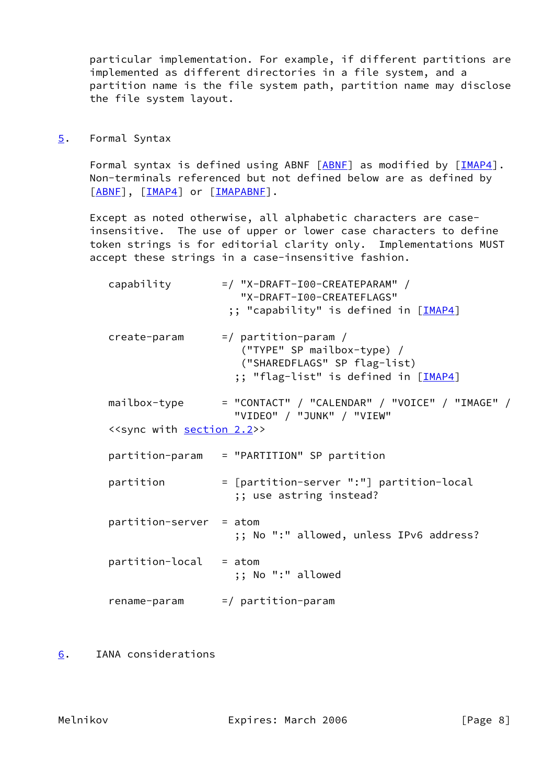particular implementation. For example, if different partitions are implemented as different directories in a file system, and a partition name is the file system path, partition name may disclose the file system layout.

<span id="page-8-0"></span>[5](#page-8-0). Formal Syntax

Formal syntax is defined using ABNF [[ABNF\]](#page-9-2) as modified by [\[IMAP4](#page-9-0)]. Non-terminals referenced but not defined below are as defined by [[ABNF\]](#page-9-2), [[IMAP4\]](#page-9-0) or [\[IMAPABNF](#page-9-3)].

 Except as noted otherwise, all alphabetic characters are case insensitive. The use of upper or lower case characters to define token strings is for editorial clarity only. Implementations MUST accept these strings in a case-insensitive fashion.

| capability                                       | $=$ / "X-DRAFT-I00-CREATEPARAM" /<br>"X-DRAFT-I00-CREATEFLAGS"<br>;; "capability" is defined in [IMAP4]                       |
|--------------------------------------------------|-------------------------------------------------------------------------------------------------------------------------------|
| create-param                                     | $=$ / partition-param /<br>("TYPE" SP mailbox-type) /<br>("SHAREDFLAGS" SP flag-list)<br>;; "flag-list" is defined in [IMAP4] |
| mailbox-type                                     | = "CONTACT" / "CALENDAR" / "VOICE" / "IMAGE" /<br>"VIDEO" / "JUNK" / "VIEW"                                                   |
| < <sync <u="" with="">section 2.2&gt;&gt;</sync> |                                                                                                                               |
|                                                  | partition-param = "PARTITION" SP partition                                                                                    |
| partition                                        | = [partition-server ":"] partition-local<br>;; use astring instead?                                                           |
| $partition-server = atom$                        | ;; No ":" allowed, unless IPv6 address?                                                                                       |
| $partition-local = atom$                         | ;; No ":" allowed                                                                                                             |
|                                                  | $rename-param$ =/ $partition-param$                                                                                           |

<span id="page-8-1"></span>[6](#page-8-1). IANA considerations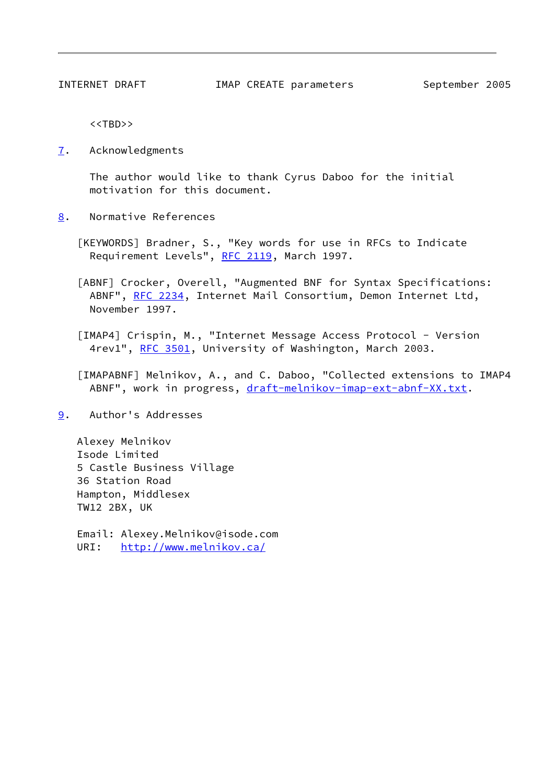<<TBD>>

<span id="page-9-4"></span>[7](#page-9-4). Acknowledgments

 The author would like to thank Cyrus Daboo for the initial motivation for this document.

<span id="page-9-5"></span>[8](#page-9-5). Normative References

<span id="page-9-1"></span> [KEYWORDS] Bradner, S., "Key words for use in RFCs to Indicate Requirement Levels", [RFC 2119,](https://datatracker.ietf.org/doc/pdf/rfc2119) March 1997.

<span id="page-9-2"></span> [ABNF] Crocker, Overell, "Augmented BNF for Syntax Specifications: ABNF", [RFC 2234](https://datatracker.ietf.org/doc/pdf/rfc2234), Internet Mail Consortium, Demon Internet Ltd, November 1997.

<span id="page-9-0"></span> [IMAP4] Crispin, M., "Internet Message Access Protocol - Version 4rev1", [RFC 3501](https://datatracker.ietf.org/doc/pdf/rfc3501), University of Washington, March 2003.

<span id="page-9-3"></span> [IMAPABNF] Melnikov, A., and C. Daboo, "Collected extensions to IMAP4 ABNF", work in progress, [draft-melnikov-imap-ext-abnf-XX.txt](https://datatracker.ietf.org/doc/pdf/draft-melnikov-imap-ext-abnf-XX.txt).

<span id="page-9-6"></span>[9](#page-9-6). Author's Addresses

 Alexey Melnikov Isode Limited 5 Castle Business Village 36 Station Road Hampton, Middlesex TW12 2BX, UK

 Email: Alexey.Melnikov@isode.com URI: <http://www.melnikov.ca/>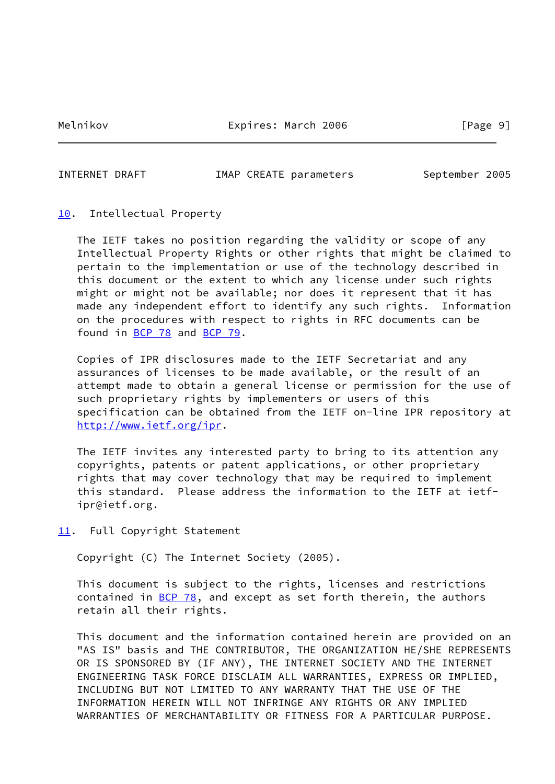Melnikov **Expires: March 2006** [Page 9]

INTERNET DRAFT **IMAP CREATE parameters** September 2005

# <span id="page-10-0"></span>[10.](#page-10-0) Intellectual Property

 The IETF takes no position regarding the validity or scope of any Intellectual Property Rights or other rights that might be claimed to pertain to the implementation or use of the technology described in this document or the extent to which any license under such rights might or might not be available; nor does it represent that it has made any independent effort to identify any such rights. Information on the procedures with respect to rights in RFC documents can be found in [BCP 78](https://datatracker.ietf.org/doc/pdf/bcp78) and [BCP 79](https://datatracker.ietf.org/doc/pdf/bcp79).

 Copies of IPR disclosures made to the IETF Secretariat and any assurances of licenses to be made available, or the result of an attempt made to obtain a general license or permission for the use of such proprietary rights by implementers or users of this specification can be obtained from the IETF on-line IPR repository at <http://www.ietf.org/ipr>.

 The IETF invites any interested party to bring to its attention any copyrights, patents or patent applications, or other proprietary rights that may cover technology that may be required to implement this standard. Please address the information to the IETF at ietf ipr@ietf.org.

<span id="page-10-1"></span>[11.](#page-10-1) Full Copyright Statement

Copyright (C) The Internet Society (2005).

 This document is subject to the rights, licenses and restrictions contained in  $\underline{BCP}$  78, and except as set forth therein, the authors retain all their rights.

 This document and the information contained herein are provided on an "AS IS" basis and THE CONTRIBUTOR, THE ORGANIZATION HE/SHE REPRESENTS OR IS SPONSORED BY (IF ANY), THE INTERNET SOCIETY AND THE INTERNET ENGINEERING TASK FORCE DISCLAIM ALL WARRANTIES, EXPRESS OR IMPLIED, INCLUDING BUT NOT LIMITED TO ANY WARRANTY THAT THE USE OF THE INFORMATION HEREIN WILL NOT INFRINGE ANY RIGHTS OR ANY IMPLIED WARRANTIES OF MERCHANTABILITY OR FITNESS FOR A PARTICULAR PURPOSE.